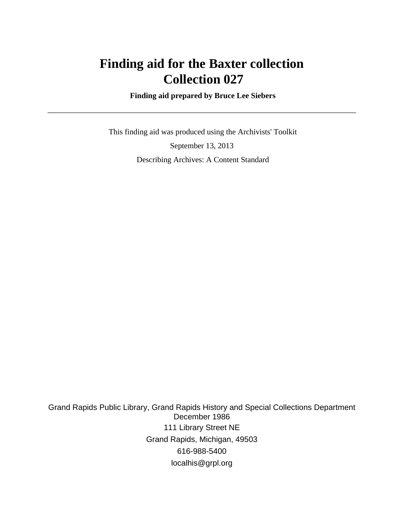# **Finding aid for the Baxter collection Collection 027**

 **Finding aid prepared by Bruce Lee Siebers**

 This finding aid was produced using the Archivists' Toolkit September 13, 2013 Describing Archives: A Content Standard

Grand Rapids Public Library, Grand Rapids History and Special Collections Department December 1986 111 Library Street NE Grand Rapids, Michigan, 49503 616-988-5400 localhis@grpl.org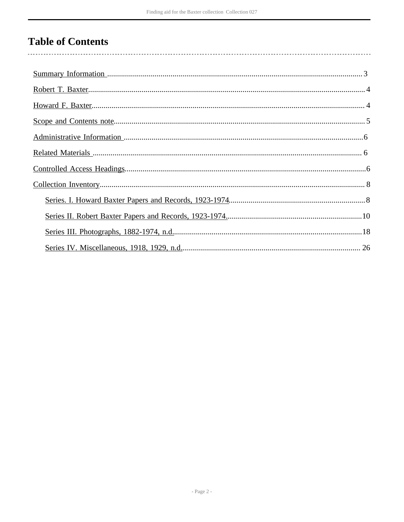# **Table of Contents**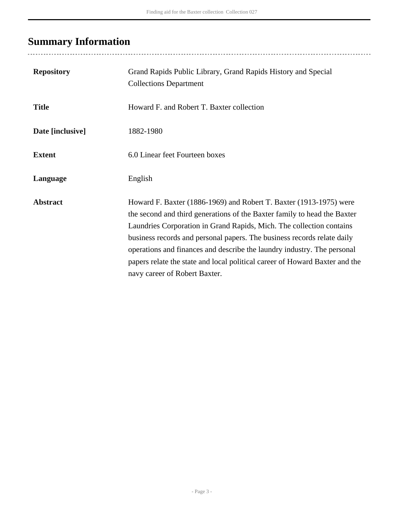# <span id="page-2-0"></span>**Summary Information**

| <b>Repository</b> | Grand Rapids Public Library, Grand Rapids History and Special<br><b>Collections Department</b>                                                                                                                                                                                                                                                                                                                                                                                               |
|-------------------|----------------------------------------------------------------------------------------------------------------------------------------------------------------------------------------------------------------------------------------------------------------------------------------------------------------------------------------------------------------------------------------------------------------------------------------------------------------------------------------------|
| <b>Title</b>      | Howard F. and Robert T. Baxter collection                                                                                                                                                                                                                                                                                                                                                                                                                                                    |
| Date [inclusive]  | 1882-1980                                                                                                                                                                                                                                                                                                                                                                                                                                                                                    |
| <b>Extent</b>     | 6.0 Linear feet Fourteen boxes                                                                                                                                                                                                                                                                                                                                                                                                                                                               |
| Language          | English                                                                                                                                                                                                                                                                                                                                                                                                                                                                                      |
| <b>Abstract</b>   | Howard F. Baxter (1886-1969) and Robert T. Baxter (1913-1975) were<br>the second and third generations of the Baxter family to head the Baxter<br>Laundries Corporation in Grand Rapids, Mich. The collection contains<br>business records and personal papers. The business records relate daily<br>operations and finances and describe the laundry industry. The personal<br>papers relate the state and local political career of Howard Baxter and the<br>navy career of Robert Baxter. |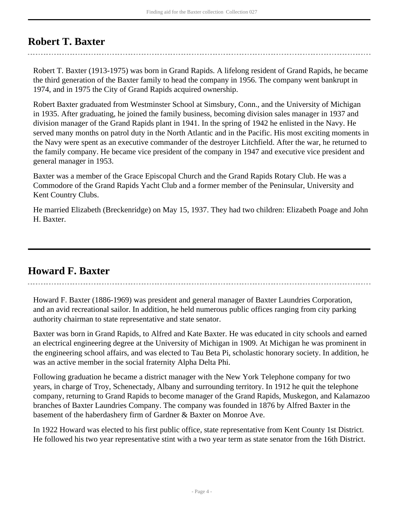# <span id="page-3-0"></span>**Robert T. Baxter**

Robert T. Baxter (1913-1975) was born in Grand Rapids. A lifelong resident of Grand Rapids, he became the third generation of the Baxter family to head the company in 1956. The company went bankrupt in 1974, and in 1975 the City of Grand Rapids acquired ownership.

Robert Baxter graduated from Westminster School at Simsbury, Conn., and the University of Michigan in 1935. After graduating, he joined the family business, becoming division sales manager in 1937 and division manager of the Grand Rapids plant in 1941. In the spring of 1942 he enlisted in the Navy. He served many months on patrol duty in the North Atlantic and in the Pacific. His most exciting moments in the Navy were spent as an executive commander of the destroyer Litchfield. After the war, he returned to the family company. He became vice president of the company in 1947 and executive vice president and general manager in 1953.

Baxter was a member of the Grace Episcopal Church and the Grand Rapids Rotary Club. He was a Commodore of the Grand Rapids Yacht Club and a former member of the Peninsular, University and Kent Country Clubs.

He married Elizabeth (Breckenridge) on May 15, 1937. They had two children: Elizabeth Poage and John H. Baxter.

# <span id="page-3-1"></span>**Howard F. Baxter**

Howard F. Baxter (1886-1969) was president and general manager of Baxter Laundries Corporation, and an avid recreational sailor. In addition, he held numerous public offices ranging from city parking authority chairman to state representative and state senator.

Baxter was born in Grand Rapids, to Alfred and Kate Baxter. He was educated in city schools and earned an electrical engineering degree at the University of Michigan in 1909. At Michigan he was prominent in the engineering school affairs, and was elected to Tau Beta Pi, scholastic honorary society. In addition, he was an active member in the social fraternity Alpha Delta Phi.

Following graduation he became a district manager with the New York Telephone company for two years, in charge of Troy, Schenectady, Albany and surrounding territory. In 1912 he quit the telephone company, returning to Grand Rapids to become manager of the Grand Rapids, Muskegon, and Kalamazoo branches of Baxter Laundries Company. The company was founded in 1876 by Alfred Baxter in the basement of the haberdashery firm of Gardner & Baxter on Monroe Ave.

In 1922 Howard was elected to his first public office, state representative from Kent County 1st District. He followed his two year representative stint with a two year term as state senator from the 16th District.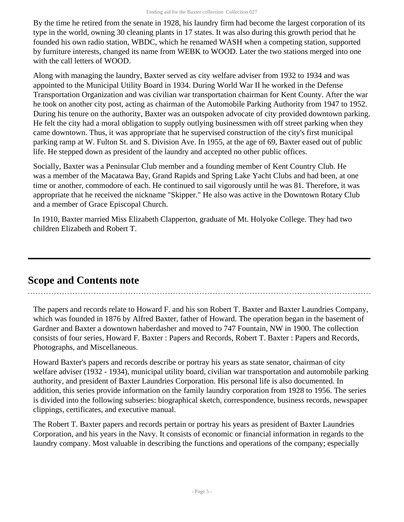By the time he retired from the senate in 1928, his laundry firm had become the largest corporation of its type in the world, owning 30 cleaning plants in 17 states. It was also during this growth period that he founded his own radio station, WBDC, which he renamed WASH when a competing station, supported by furniture interests, changed its name from WEBK to WOOD. Later the two stations merged into one with the call letters of WOOD.

Along with managing the laundry, Baxter served as city welfare adviser from 1932 to 1934 and was appointed to the Municipal Utility Board in 1934. During World War II he worked in the Defense Transportation Organization and was civilian war transportation chairman for Kent County. After the war he took on another city post, acting as chairman of the Automobile Parking Authority from 1947 to 1952. During his tenure on the authority, Baxter was an outspoken advocate of city provided downtown parking. He felt the city had a moral obligation to supply outlying businessmen with off street parking when they came downtown. Thus, it was appropriate that he supervised construction of the city's first municipal parking ramp at W. Fulton St. and S. Division Ave. In 1955, at the age of 69, Baxter eased out of public life. He stepped down as president of the laundry and accepted no other public offices.

Socially, Baxter was a Peninsular Club member and a founding member of Kent Country Club. He was a member of the Macatawa Bay, Grand Rapids and Spring Lake Yacht Clubs and had been, at one time or another, commodore of each. He continued to sail vigorously until he was 81. Therefore, it was appropriate that he received the nickname "Skipper." He also was active in the Downtown Rotary Club and a member of Grace Episcopal Church.

In 1910, Baxter married Miss Elizabeth Clapperton, graduate of Mt. Holyoke College. They had two children Elizabeth and Robert T.

# <span id="page-4-0"></span>**Scope and Contents note**

The papers and records relate to Howard F. and his son Robert T. Baxter and Baxter Laundries Company, which was founded in 1876 by Alfred Baxter, father of Howard. The operation began in the basement of Gardner and Baxter a downtown haberdasher and moved to 747 Fountain, NW in 1900. The collection consists of four series, Howard F. Baxter : Papers and Records, Robert T. Baxter : Papers and Records, Photographs, and Miscellaneous.

Howard Baxter's papers and records describe or portray his years as state senator, chairman of city welfare adviser (1932 - 1934), municipal utility board, civilian war transportation and automobile parking authority, and president of Baxter Laundries Corporation. His personal life is also documented. In addition, this series provide information on the family laundry corporation from 1928 to 1956. The series is divided into the following subseries: biographical sketch, correspondence, business records, newspaper clippings, certificates, and executive manual.

The Robert T. Baxter papers and records pertain or portray his years as president of Baxter Laundries Corporation, and his years in the Navy. It consists of economic or financial information in regards to the laundry company. Most valuable in describing the functions and operations of the company; especially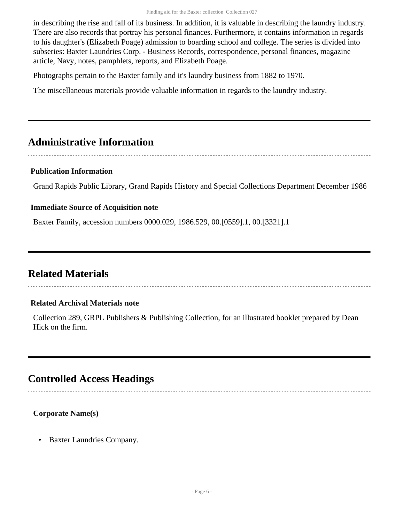in describing the rise and fall of its business. In addition, it is valuable in describing the laundry industry. There are also records that portray his personal finances. Furthermore, it contains information in regards to his daughter's (Elizabeth Poage) admission to boarding school and college. The series is divided into subseries: Baxter Laundries Corp. - Business Records, correspondence, personal finances, magazine article, Navy, notes, pamphlets, reports, and Elizabeth Poage.

Photographs pertain to the Baxter family and it's laundry business from 1882 to 1970.

The miscellaneous materials provide valuable information in regards to the laundry industry.

# <span id="page-5-0"></span>**Administrative Information**

### **Publication Information**

Grand Rapids Public Library, Grand Rapids History and Special Collections Department December 1986

#### **Immediate Source of Acquisition note**

Baxter Family, accession numbers 0000.029, 1986.529, 00.[0559].1, 00.[3321].1

# <span id="page-5-1"></span>**Related Materials**

### **Related Archival Materials note**

Collection 289, GRPL Publishers & Publishing Collection, for an illustrated booklet prepared by Dean Hick on the firm.

# <span id="page-5-2"></span>**Controlled Access Headings**

**Corporate Name(s)**

• Baxter Laundries Company.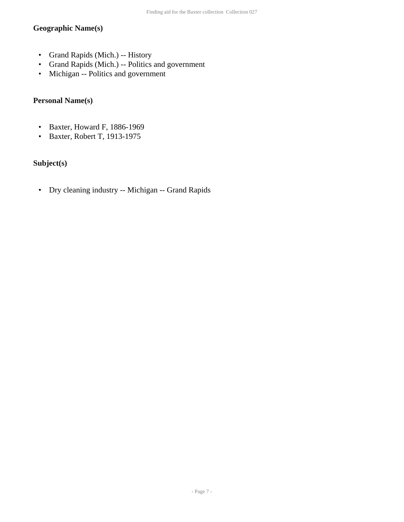### **Geographic Name(s)**

- Grand Rapids (Mich.) -- History
- Grand Rapids (Mich.) -- Politics and government
- Michigan -- Politics and government

## **Personal Name(s)**

- Baxter, Howard F, 1886-1969
- Baxter, Robert T, 1913-1975

### **Subject(s)**

• Dry cleaning industry -- Michigan -- Grand Rapids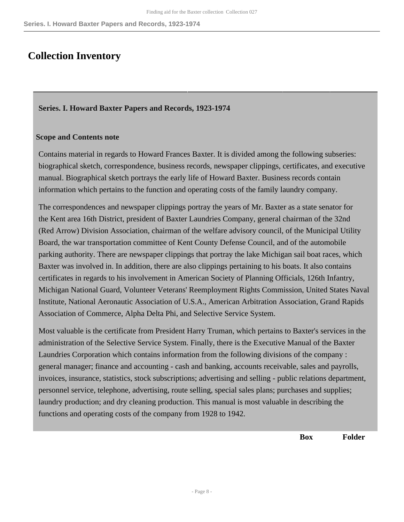## <span id="page-7-0"></span>**Collection Inventory**

### <span id="page-7-1"></span>**Series. I. Howard Baxter Papers and Records, 1923-1974**

#### **Scope and Contents note**

Contains material in regards to Howard Frances Baxter. It is divided among the following subseries: biographical sketch, correspondence, business records, newspaper clippings, certificates, and executive manual. Biographical sketch portrays the early life of Howard Baxter. Business records contain information which pertains to the function and operating costs of the family laundry company.

The correspondences and newspaper clippings portray the years of Mr. Baxter as a state senator for the Kent area 16th District, president of Baxter Laundries Company, general chairman of the 32nd (Red Arrow) Division Association, chairman of the welfare advisory council, of the Municipal Utility Board, the war transportation committee of Kent County Defense Council, and of the automobile parking authority. There are newspaper clippings that portray the lake Michigan sail boat races, which Baxter was involved in. In addition, there are also clippings pertaining to his boats. It also contains certificates in regards to his involvement in American Society of Planning Officials, 126th Infantry, Michigan National Guard, Volunteer Veterans' Reemployment Rights Commission, United States Naval Institute, National Aeronautic Association of U.S.A., American Arbitration Association, Grand Rapids Association of Commerce, Alpha Delta Phi, and Selective Service System.

Most valuable is the certificate from President Harry Truman, which pertains to Baxter's services in the administration of the Selective Service System. Finally, there is the Executive Manual of the Baxter Laundries Corporation which contains information from the following divisions of the company : general manager; finance and accounting - cash and banking, accounts receivable, sales and payrolls, invoices, insurance, statistics, stock subscriptions; advertising and selling - public relations department, personnel service, telephone, advertising, route selling, special sales plans; purchases and supplies; laundry production; and dry cleaning production. This manual is most valuable in describing the functions and operating costs of the company from 1928 to 1942.

**Box Folder**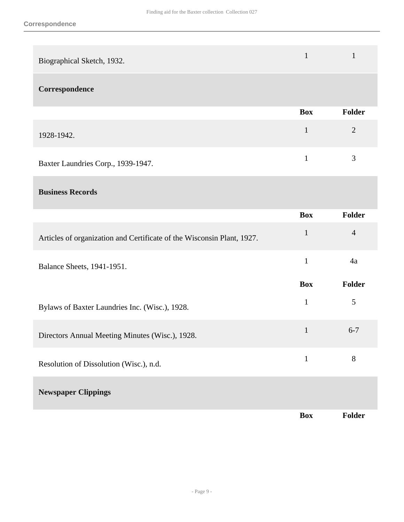| Biographical Sketch, 1932. |  |
|----------------------------|--|
| Correspondence             |  |

|                                    | Box | Folder        |
|------------------------------------|-----|---------------|
| 1928-1942.                         |     |               |
| Baxter Laundries Corp., 1939-1947. |     | $\mathcal{R}$ |

### **Business Records**

|                                                                        | <b>Box</b>   | <b>Folder</b>  |
|------------------------------------------------------------------------|--------------|----------------|
| Articles of organization and Certificate of the Wisconsin Plant, 1927. | $\mathbf{1}$ | $\overline{4}$ |
| Balance Sheets, 1941-1951.                                             | $\mathbf{1}$ | 4a             |
|                                                                        | <b>Box</b>   | <b>Folder</b>  |
| Bylaws of Baxter Laundries Inc. (Wisc.), 1928.                         | $\mathbf{1}$ | 5              |
| Directors Annual Meeting Minutes (Wisc.), 1928.                        | $\mathbf{1}$ | $6 - 7$        |
| Resolution of Dissolution (Wisc.), n.d.                                | $\mathbf{1}$ | 8              |
| <b>Newspaper Clippings</b>                                             |              |                |
|                                                                        | <b>Box</b>   | <b>Folder</b>  |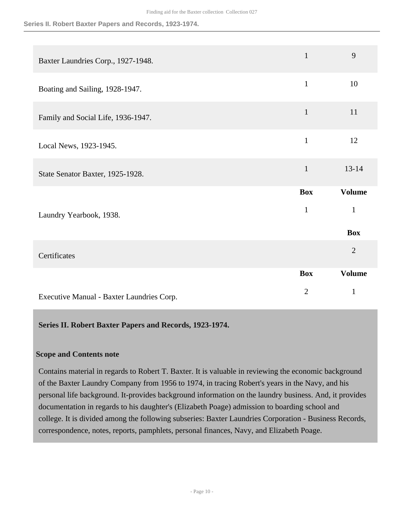#### **Series II. Robert Baxter Papers and Records, 1923-1974.**

| Baxter Laundries Corp., 1927-1948.        | $\mathbf{1}$               | 9                                           |
|-------------------------------------------|----------------------------|---------------------------------------------|
| Boating and Sailing, 1928-1947.           | $\mathbf{1}$               | 10                                          |
| Family and Social Life, 1936-1947.        | $\mathbf{1}$               | 11                                          |
| Local News, 1923-1945.                    | $\mathbf{1}$               | 12                                          |
| State Senator Baxter, 1925-1928.          | $\mathbf{1}$               | $13 - 14$                                   |
| Laundry Yearbook, 1938.                   | <b>Box</b><br>$\mathbf{1}$ | <b>Volume</b><br>$\mathbf{1}$<br><b>Box</b> |
| Certificates                              |                            | $\overline{2}$                              |
|                                           | <b>Box</b>                 | <b>Volume</b>                               |
| Executive Manual - Baxter Laundries Corp. | $\overline{2}$             | $\mathbf{1}$                                |

<span id="page-9-0"></span>**Series II. Robert Baxter Papers and Records, 1923-1974.** 

#### **Scope and Contents note**

Contains material in regards to Robert T. Baxter. It is valuable in reviewing the economic background of the Baxter Laundry Company from 1956 to 1974, in tracing Robert's years in the Navy, and his personal life background. It-provides background information on the laundry business. And, it provides documentation in regards to his daughter's (Elizabeth Poage) admission to boarding school and college. It is divided among the following subseries: Baxter Laundries Corporation - Business Records, correspondence, notes, reports, pamphlets, personal finances, Navy, and Elizabeth Poage.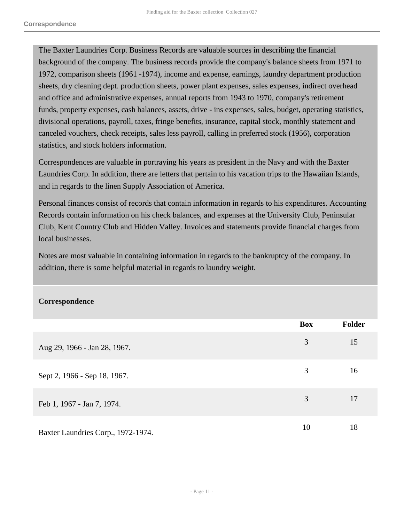The Baxter Laundries Corp. Business Records are valuable sources in describing the financial background of the company. The business records provide the company's balance sheets from 1971 to 1972, comparison sheets (1961 -1974), income and expense, earnings, laundry department production sheets, dry cleaning dept. production sheets, power plant expenses, sales expenses, indirect overhead and office and administrative expenses, annual reports from 1943 to 1970, company's retirement funds, property expenses, cash balances, assets, drive - ins expenses, sales, budget, operating statistics, divisional operations, payroll, taxes, fringe benefits, insurance, capital stock, monthly statement and canceled vouchers, check receipts, sales less payroll, calling in preferred stock (1956), corporation statistics, and stock holders information.

Correspondences are valuable in portraying his years as president in the Navy and with the Baxter Laundries Corp. In addition, there are letters that pertain to his vacation trips to the Hawaiian Islands, and in regards to the linen Supply Association of America.

Personal finances consist of records that contain information in regards to his expenditures. Accounting Records contain information on his check balances, and expenses at the University Club, Peninsular Club, Kent Country Club and Hidden Valley. Invoices and statements provide financial charges from local businesses.

Notes are most valuable in containing information in regards to the bankruptcy of the company. In addition, there is some helpful material in regards to laundry weight.

#### **Correspondence**

|                                    | <b>Box</b> | <b>Folder</b> |
|------------------------------------|------------|---------------|
| Aug 29, 1966 - Jan 28, 1967.       | 3          | 15            |
| Sept 2, 1966 - Sep 18, 1967.       | 3          | 16            |
| Feb 1, 1967 - Jan 7, 1974.         | 3          | 17            |
| Baxter Laundries Corp., 1972-1974. | 10         | 18            |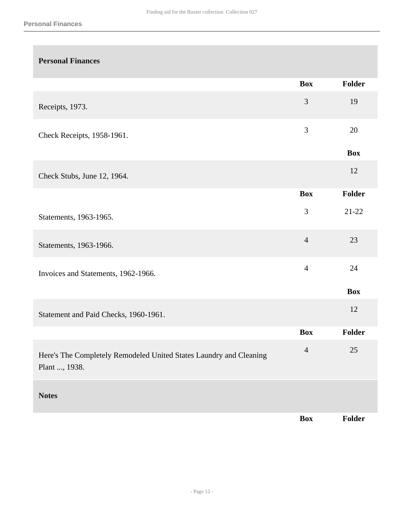| <b>Personal Finances</b>                                                            |                |               |
|-------------------------------------------------------------------------------------|----------------|---------------|
|                                                                                     | <b>Box</b>     | Folder        |
| Receipts, 1973.                                                                     | $\mathfrak{Z}$ | 19            |
| Check Receipts, 1958-1961.                                                          | 3              | 20            |
|                                                                                     |                | <b>Box</b>    |
| Check Stubs, June 12, 1964.                                                         |                | 12            |
|                                                                                     | <b>Box</b>     | Folder        |
| Statements, 1963-1965.                                                              | 3              | $21 - 22$     |
| Statements, 1963-1966.                                                              | $\overline{4}$ | 23            |
| Invoices and Statements, 1962-1966.                                                 | $\overline{4}$ | 24            |
|                                                                                     |                | <b>Box</b>    |
| Statement and Paid Checks, 1960-1961.                                               |                | 12            |
|                                                                                     | <b>Box</b>     | <b>Folder</b> |
| Here's The Completely Remodeled United States Laundry and Cleaning<br>Plant , 1938. | $\overline{4}$ | 25            |
| <b>Notes</b>                                                                        |                |               |
|                                                                                     | <b>Box</b>     | Folder        |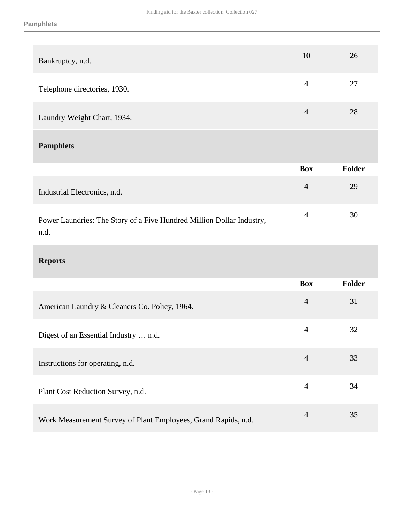| Bankruptcy, n.d.                                                              | 10             | 26            |
|-------------------------------------------------------------------------------|----------------|---------------|
| Telephone directories, 1930.                                                  | $\overline{4}$ | 27            |
| Laundry Weight Chart, 1934.                                                   | $\overline{4}$ | 28            |
| <b>Pamphlets</b>                                                              |                |               |
|                                                                               | <b>Box</b>     | <b>Folder</b> |
| Industrial Electronics, n.d.                                                  | $\overline{4}$ | 29            |
| Power Laundries: The Story of a Five Hundred Million Dollar Industry,<br>n.d. | $\overline{4}$ | 30            |
| <b>Reports</b>                                                                |                |               |
|                                                                               | <b>Box</b>     | <b>Folder</b> |
| American Laundry & Cleaners Co. Policy, 1964.                                 | $\overline{4}$ | 31            |
| Digest of an Essential Industry  n.d.                                         | $\overline{4}$ | 32            |
| Instructions for operating, n.d.                                              | $\overline{4}$ | 33            |
| Plant Cost Reduction Survey, n.d.                                             | $\overline{4}$ | 34            |
| Work Measurement Survey of Plant Employees, Grand Rapids, n.d.                | $\overline{4}$ | 35            |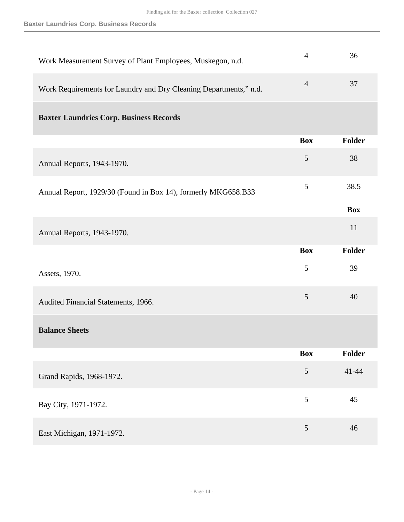| Work Measurement Survey of Plant Employees, Muskegon, n.d.        | $\overline{4}$ | 36            |
|-------------------------------------------------------------------|----------------|---------------|
| Work Requirements for Laundry and Dry Cleaning Departments," n.d. | $\overline{4}$ | 37            |
| <b>Baxter Laundries Corp. Business Records</b>                    |                |               |
|                                                                   | <b>Box</b>     | Folder        |
| Annual Reports, 1943-1970.                                        | 5              | 38            |
| Annual Report, 1929/30 (Found in Box 14), formerly MKG658.B33     | 5              | 38.5          |
|                                                                   |                | <b>Box</b>    |
| Annual Reports, 1943-1970.                                        |                | 11            |
|                                                                   | <b>Box</b>     | Folder        |
| Assets, 1970.                                                     | 5              | 39            |
| Audited Financial Statements, 1966.                               | 5              | 40            |
| <b>Balance Sheets</b>                                             |                |               |
|                                                                   | <b>Box</b>     | <b>Folder</b> |
| Grand Rapids, 1968-1972.                                          | $\mathfrak{S}$ | $41 - 44$     |
| Bay City, 1971-1972.                                              | 5              | 45            |
| East Michigan, 1971-1972.                                         | $\mathfrak{S}$ | 46            |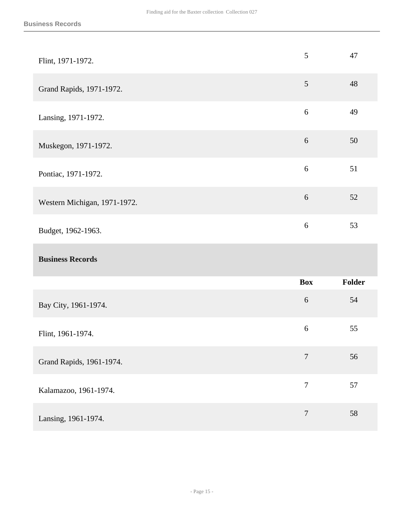| Flint, 1971-1972.            | $\mathfrak{S}$   | 47     |
|------------------------------|------------------|--------|
| Grand Rapids, 1971-1972.     | $\mathfrak{S}$   | 48     |
| Lansing, 1971-1972.          | $6\,$            | 49     |
| Muskegon, 1971-1972.         | $6\,$            | 50     |
| Pontiac, 1971-1972.          | 6                | 51     |
| Western Michigan, 1971-1972. | $6\,$            | 52     |
| Budget, 1962-1963.           | $6\,$            | 53     |
|                              |                  |        |
| <b>Business Records</b>      |                  |        |
|                              | <b>Box</b>       | Folder |
| Bay City, 1961-1974.         | $6\,$            | 54     |
| Flint, 1961-1974.            | $\sqrt{6}$       | 55     |
| Grand Rapids, 1961-1974.     | $\boldsymbol{7}$ | 56     |
| Kalamazoo, 1961-1974.        | $\overline{7}$   | 57     |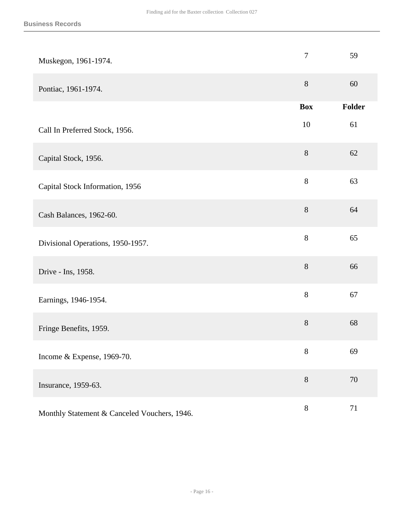| Muskegon, 1961-1974.                         | $\overline{7}$ | 59     |
|----------------------------------------------|----------------|--------|
| Pontiac, 1961-1974.                          | $8\,$          | 60     |
|                                              | <b>Box</b>     | Folder |
| Call In Preferred Stock, 1956.               | 10             | 61     |
| Capital Stock, 1956.                         | $8\,$          | 62     |
| Capital Stock Information, 1956              | $8\,$          | 63     |
| Cash Balances, 1962-60.                      | $8\,$          | 64     |
| Divisional Operations, 1950-1957.            | $8\,$          | 65     |
| Drive - Ins, 1958.                           | $8\,$          | 66     |
| Earnings, 1946-1954.                         | $\,8\,$        | 67     |
| Fringe Benefits, 1959.                       | $8\,$          | 68     |
| Income & Expense, 1969-70.                   | $8\,$          | 69     |
| Insurance, 1959-63.                          | $8\,$          | 70     |
| Monthly Statement & Canceled Vouchers, 1946. | $8\,$          | 71     |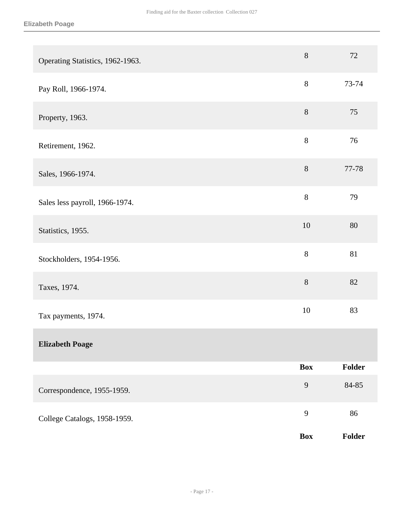| Operating Statistics, 1962-1963. | $8\,$        | 72     |
|----------------------------------|--------------|--------|
| Pay Roll, 1966-1974.             | 8            | 73-74  |
| Property, 1963.                  | $8\,$        | 75     |
| Retirement, 1962.                | $8\,$        | 76     |
| Sales, 1966-1974.                | $8\,$        | 77-78  |
| Sales less payroll, 1966-1974.   | $8\,$        | 79     |
| Statistics, 1955.                | 10           | 80     |
| Stockholders, 1954-1956.         | $8\,$        | 81     |
| Taxes, 1974.                     | $8\,$        | 82     |
| Tax payments, 1974.              | 10           | 83     |
| <b>Elizabeth Poage</b>           |              |        |
|                                  | <b>Box</b>   | Folder |
| Correspondence, 1955-1959.       | $\mathbf{9}$ | 84-85  |
| College Catalogs, 1958-1959.     | 9            | 86     |
|                                  | <b>Box</b>   | Folder |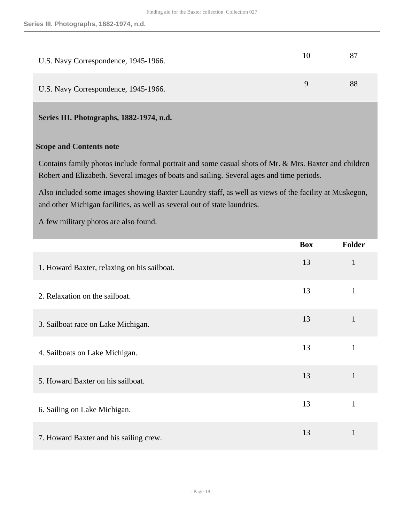| U.S. Navy Correspondence, 1945-1966. | 10 |    |
|--------------------------------------|----|----|
| U.S. Navy Correspondence, 1945-1966. | Q  | 88 |

#### <span id="page-17-0"></span>**Series III. Photographs, 1882-1974, n.d.**

#### **Scope and Contents note**

Contains family photos include formal portrait and some casual shots of Mr. & Mrs. Baxter and children Robert and Elizabeth. Several images of boats and sailing. Several ages and time periods.

Also included some images showing Baxter Laundry staff, as well as views of the facility at Muskegon, and other Michigan facilities, as well as several out of state laundries.

A few military photos are also found.

|                                             | <b>Box</b> | Folder       |
|---------------------------------------------|------------|--------------|
| 1. Howard Baxter, relaxing on his sailboat. | 13         | $\mathbf{1}$ |
| 2. Relaxation on the sailboat.              | 13         | 1            |
| 3. Sailboat race on Lake Michigan.          | 13         |              |
| 4. Sailboats on Lake Michigan.              | 13         | 1            |
| 5. Howard Baxter on his sailboat.           | 13         | 1            |
| 6. Sailing on Lake Michigan.                | 13         | 1            |
| 7. Howard Baxter and his sailing crew.      | 13         | $\mathbf{1}$ |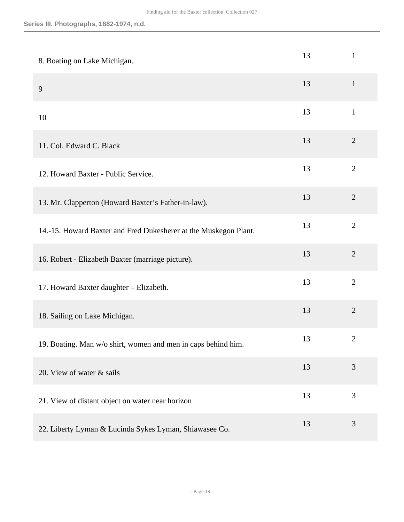| 8. Boating on Lake Michigan.                                     | 13 | $\mathbf{1}$   |
|------------------------------------------------------------------|----|----------------|
| 9                                                                | 13 | $\mathbf{1}$   |
| 10                                                               | 13 | $\mathbf{1}$   |
| 11. Col. Edward C. Black                                         | 13 | $\overline{2}$ |
| 12. Howard Baxter - Public Service.                              | 13 | $\overline{2}$ |
| 13. Mr. Clapperton (Howard Baxter's Father-in-law).              | 13 | $\overline{2}$ |
| 14.-15. Howard Baxter and Fred Dukesherer at the Muskegon Plant. | 13 | $\overline{2}$ |
| 16. Robert - Elizabeth Baxter (marriage picture).                | 13 | $\overline{2}$ |
| 17. Howard Baxter daughter - Elizabeth.                          | 13 | $\overline{2}$ |
| 18. Sailing on Lake Michigan.                                    | 13 | $\overline{2}$ |
| 19. Boating. Man w/o shirt, women and men in caps behind him.    | 13 | $\overline{2}$ |
| 20. View of water & sails                                        | 13 | 3              |
| 21. View of distant object on water near horizon                 | 13 | 3              |
| 22. Liberty Lyman & Lucinda Sykes Lyman, Shiawasee Co.           | 13 | $\mathfrak{Z}$ |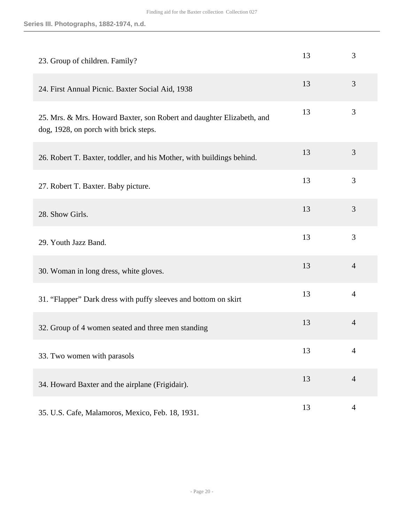| 23. Group of children. Family?                                                                                 | 13 | 3              |
|----------------------------------------------------------------------------------------------------------------|----|----------------|
| 24. First Annual Picnic. Baxter Social Aid, 1938                                                               | 13 | 3              |
| 25. Mrs. & Mrs. Howard Baxter, son Robert and daughter Elizabeth, and<br>dog, 1928, on porch with brick steps. | 13 | 3              |
| 26. Robert T. Baxter, toddler, and his Mother, with buildings behind.                                          | 13 | 3              |
| 27. Robert T. Baxter. Baby picture.                                                                            | 13 | 3              |
| 28. Show Girls.                                                                                                | 13 | 3              |
| 29. Youth Jazz Band.                                                                                           | 13 | 3              |
| 30. Woman in long dress, white gloves.                                                                         | 13 | $\overline{4}$ |
| 31. "Flapper" Dark dress with puffy sleeves and bottom on skirt                                                | 13 | $\overline{4}$ |
| 32. Group of 4 women seated and three men standing                                                             | 13 | $\overline{4}$ |
| 33. Two women with parasols                                                                                    | 13 | 4              |
| 34. Howard Baxter and the airplane (Frigidair).                                                                | 13 | $\overline{4}$ |
| 35. U.S. Cafe, Malamoros, Mexico, Feb. 18, 1931.                                                               | 13 | $\overline{4}$ |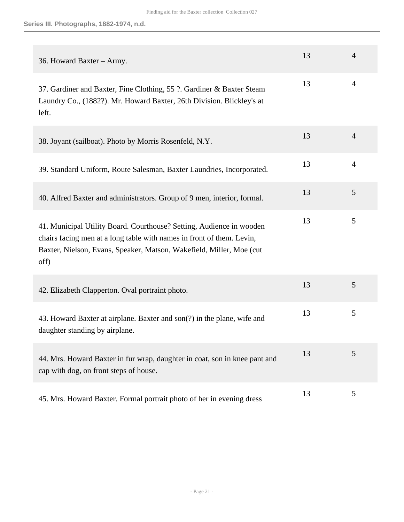| 36. Howard Baxter - Army.                                                                                                                                                                                                      | 13 | $\overline{4}$ |
|--------------------------------------------------------------------------------------------------------------------------------------------------------------------------------------------------------------------------------|----|----------------|
| 37. Gardiner and Baxter, Fine Clothing, 55 ?. Gardiner & Baxter Steam<br>Laundry Co., (1882?). Mr. Howard Baxter, 26th Division. Blickley's at<br>left.                                                                        | 13 | 4              |
| 38. Joyant (sailboat). Photo by Morris Rosenfeld, N.Y.                                                                                                                                                                         | 13 | $\overline{4}$ |
| 39. Standard Uniform, Route Salesman, Baxter Laundries, Incorporated.                                                                                                                                                          | 13 | $\overline{4}$ |
| 40. Alfred Baxter and administrators. Group of 9 men, interior, formal.                                                                                                                                                        | 13 | 5              |
| 41. Municipal Utility Board. Courthouse? Setting, Audience in wooden<br>chairs facing men at a long table with names in front of them. Levin,<br>Baxter, Nielson, Evans, Speaker, Matson, Wakefield, Miller, Moe (cut)<br>off) | 13 | 5              |
| 42. Elizabeth Clapperton. Oval portraint photo.                                                                                                                                                                                | 13 | 5              |
| 43. Howard Baxter at airplane. Baxter and son(?) in the plane, wife and<br>daughter standing by airplane.                                                                                                                      | 13 | 5              |
| 44. Mrs. Howard Baxter in fur wrap, daughter in coat, son in knee pant and<br>cap with dog, on front steps of house.                                                                                                           | 13 | 5              |
| 45. Mrs. Howard Baxter. Formal portrait photo of her in evening dress                                                                                                                                                          | 13 | 5              |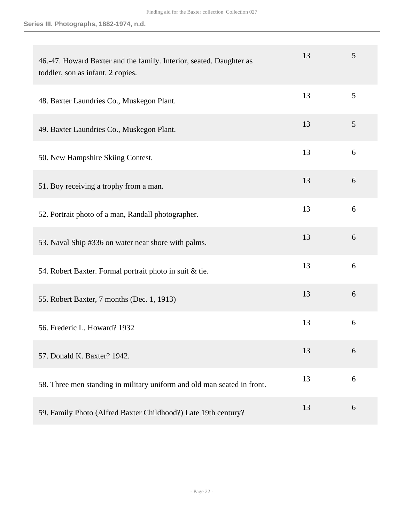**Series III. Photographs, 1882-1974, n.d.**

| 46.-47. Howard Baxter and the family. Interior, seated. Daughter as<br>toddler, son as infant. 2 copies. | 13 | 5 |
|----------------------------------------------------------------------------------------------------------|----|---|
| 48. Baxter Laundries Co., Muskegon Plant.                                                                | 13 | 5 |
| 49. Baxter Laundries Co., Muskegon Plant.                                                                | 13 | 5 |
| 50. New Hampshire Skiing Contest.                                                                        | 13 | 6 |
| 51. Boy receiving a trophy from a man.                                                                   | 13 | 6 |
| 52. Portrait photo of a man, Randall photographer.                                                       | 13 | 6 |
| 53. Naval Ship #336 on water near shore with palms.                                                      | 13 | 6 |
| 54. Robert Baxter. Formal portrait photo in suit & tie.                                                  | 13 | 6 |
| 55. Robert Baxter, 7 months (Dec. 1, 1913)                                                               | 13 | 6 |
| 56. Frederic L. Howard? 1932                                                                             | 13 | 6 |
| 57. Donald K. Baxter? 1942.                                                                              | 13 | 6 |
| 58. Three men standing in military uniform and old man seated in front.                                  | 13 | 6 |
| 59. Family Photo (Alfred Baxter Childhood?) Late 19th century?                                           | 13 | 6 |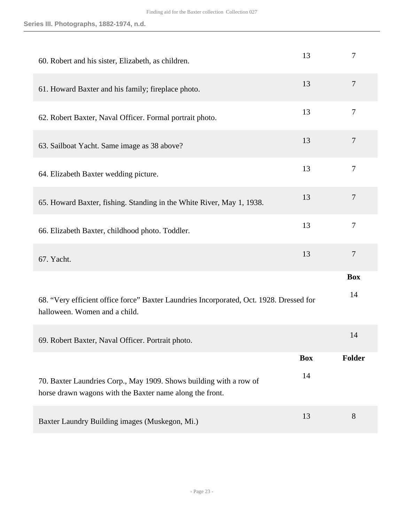| 60. Robert and his sister, Elizabeth, as children.                                                                             | 13         | $\overline{7}$ |
|--------------------------------------------------------------------------------------------------------------------------------|------------|----------------|
| 61. Howard Baxter and his family; fireplace photo.                                                                             | 13         | 7              |
| 62. Robert Baxter, Naval Officer. Formal portrait photo.                                                                       | 13         | $\overline{7}$ |
| 63. Sailboat Yacht. Same image as 38 above?                                                                                    | 13         | $\overline{7}$ |
| 64. Elizabeth Baxter wedding picture.                                                                                          | 13         | $\overline{7}$ |
| 65. Howard Baxter, fishing. Standing in the White River, May 1, 1938.                                                          | 13         | $\tau$         |
| 66. Elizabeth Baxter, childhood photo. Toddler.                                                                                | 13         | $\overline{7}$ |
| 67. Yacht.                                                                                                                     | 13         | $\overline{7}$ |
|                                                                                                                                |            | <b>Box</b>     |
| 68. "Very efficient office force" Baxter Laundries Incorporated, Oct. 1928. Dressed for<br>halloween. Women and a child.       |            | 14             |
| 69. Robert Baxter, Naval Officer. Portrait photo.                                                                              |            | 14             |
|                                                                                                                                | <b>Box</b> | <b>Folder</b>  |
| 70. Baxter Laundries Corp., May 1909. Shows building with a row of<br>horse drawn wagons with the Baxter name along the front. | 14         |                |
| Baxter Laundry Building images (Muskegon, Mi.)                                                                                 | 13         | 8              |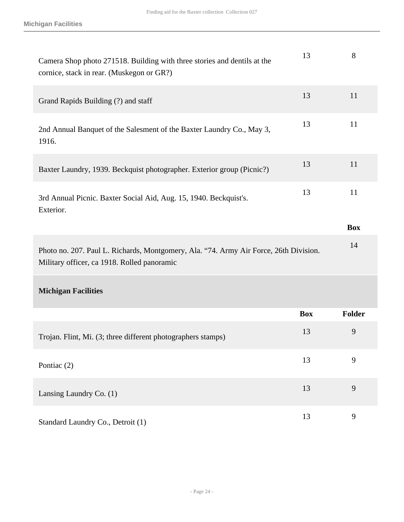| Camera Shop photo 271518. Building with three stories and dentils at the<br>cornice, stack in rear. (Muskegon or GR?)                | 13         | 8          |
|--------------------------------------------------------------------------------------------------------------------------------------|------------|------------|
| Grand Rapids Building (?) and staff                                                                                                  | 13         | 11         |
| 2nd Annual Banquet of the Salesment of the Baxter Laundry Co., May 3,<br>1916.                                                       | 13         | 11         |
| Baxter Laundry, 1939. Beckquist photographer. Exterior group (Picnic?)                                                               | 13         | 11         |
| 3rd Annual Picnic. Baxter Social Aid, Aug. 15, 1940. Beckquist's.<br>Exterior.                                                       | 13         | 11         |
|                                                                                                                                      |            | <b>Box</b> |
| Photo no. 207. Paul L. Richards, Montgomery, Ala. "74. Army Air Force, 26th Division.<br>Military officer, ca 1918. Rolled panoramic |            | 14         |
| <b>Michigan Facilities</b>                                                                                                           |            |            |
|                                                                                                                                      | <b>Box</b> | Folder     |
| Trojan. Flint, Mi. (3; three different photographers stamps)                                                                         | 13         | 9          |
| Pontiac (2)                                                                                                                          | 13         | 9          |
| Lansing Laundry Co. (1)                                                                                                              | 13         | 9          |
| Standard Laundry Co., Detroit (1)                                                                                                    | 13         | 9          |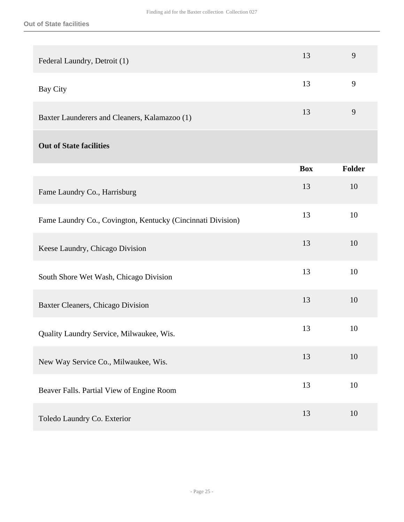| Federal Laundry, Detroit (1)                                | 13         | 9      |
|-------------------------------------------------------------|------------|--------|
| Bay City                                                    | 13         | 9      |
| Baxter Launderers and Cleaners, Kalamazoo (1)               | 13         | 9      |
| <b>Out of State facilities</b>                              |            |        |
|                                                             | <b>Box</b> | Folder |
| Fame Laundry Co., Harrisburg                                | 13         | 10     |
| Fame Laundry Co., Covington, Kentucky (Cincinnati Division) | 13         | 10     |
| Keese Laundry, Chicago Division                             | 13         | 10     |
| South Shore Wet Wash, Chicago Division                      | 13         | 10     |
| Baxter Cleaners, Chicago Division                           | 13         | 10     |
| Quality Laundry Service, Milwaukee, Wis.                    | 13         | 10     |
| New Way Service Co., Milwaukee, Wis.                        | 13         | 10     |
| Beaver Falls. Partial View of Engine Room                   | 13         | 10     |
| Toledo Laundry Co. Exterior                                 | 13         | 10     |